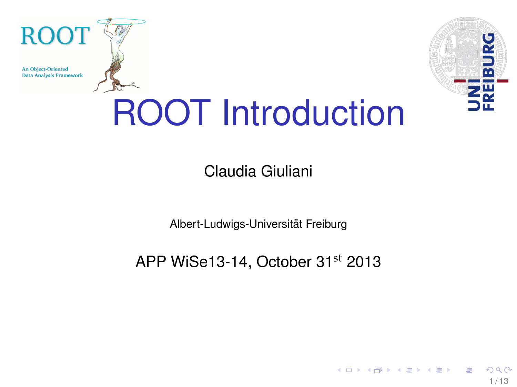**An Object-Oriented Data Analysis Framework** 

**ROOT** 



 $1/13$ 

# ROOT Introduction

Claudia Giuliani

Albert-Ludwigs-Universitat Freiburg ¨

APP WiSe13-14, October 31<sup>st</sup> 2013

a miller

 $\left\{ \left\vert \left\langle \left\{ \mathbf{0}\right\vert \mathbf{0}\right\} \right\vert \left\langle \mathbf{0}\right\vert \left\langle \mathbf{0}\right\vert \right\vert \left\langle \mathbf{0}\right\vert \left\langle \mathbf{0}\right\vert \right\vert \left\langle \mathbf{0}\right\vert \left\langle \mathbf{0}\right\vert \left\langle \mathbf{0}\right\vert \right\vert \left\langle \mathbf{0}\right\vert \left\langle \mathbf{0}\right\vert \left\langle \mathbf{0}\right\vert \left\langle \mathbf{0}\right\vert \right\vert \left\langle \mathbf{0}\right\vert \left\langle \mathbf{0}\$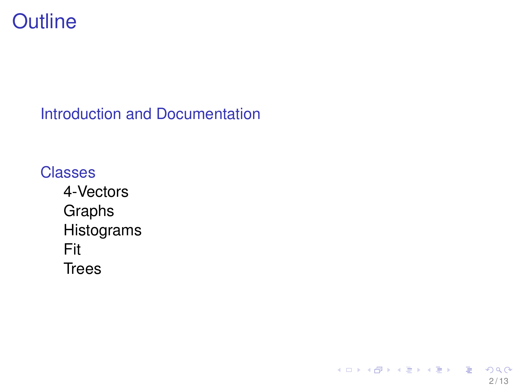<span id="page-1-0"></span>

[Introduction and Documentation](#page-2-0)

 $2/13$ 

 $QQQ$ 

メロトメ 御 トメ 君 トメ 君 トー 君

**[Classes](#page-6-0)** [4-Vectors](#page-8-0) [Graphs](#page-9-0) [Histograms](#page-10-0) [Fit](#page-11-0) **[Trees](#page-12-0)**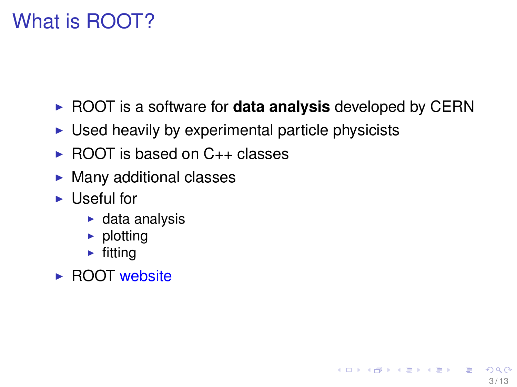# <span id="page-2-0"></span>What is ROOT?

**• ROOT** is a software for **data analysis** developed by CERN

3 / 13

K ロ ▶ K 何 ▶ K ヨ ▶ K ヨ ▶ ...

- $\triangleright$  Used heavily by experimental particle physicists
- $\triangleright$  ROOT is based on  $C_{++}$  classes
- $\blacktriangleright$  Many additional classes
- $\blacktriangleright$  Useful for
	- $\triangleright$  data analysis
	- $\blacktriangleright$  plotting
	- $\blacktriangleright$  fitting
- $\triangleright$  ROOT [website](http://root.cern.ch/drupal/)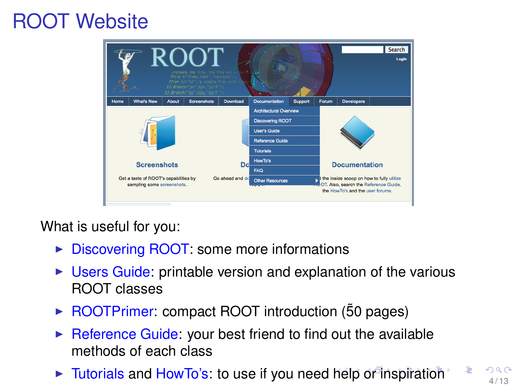## <span id="page-3-0"></span>ROOT Website



What is useful for you:

- $\triangleright$  [Discovering ROOT:](http://root.cern.ch/drupal/content/discovering-root) some more informations
- $\triangleright$  [Users Guide:](http://root.cern.ch/drupal/content/users-guide) printable version and explanation of the various ROOT classes
- ► [ROOTPrimer:](http://root.cern.ch/download/doc/primer/ROOTPrimer.pdf) compact ROOT introduction (50 pages)
- $\triangleright$  [Reference Guide:](http://root.cern.ch/root/html534/ClassIndex.html) your best friend to find out the available methods of each class
- If [Tutorials](http://root.cern.ch/root/html534/tutorials/) and [HowTo's:](http://root.cern.ch/drupal/content/howtos) to use if you need [he](#page-2-0)l[p](#page-4-0) [o](#page-2-0)f i[n](#page-5-0)[s](#page-1-0)[pi](#page-2-0)[r](#page-5-0)[a](#page-6-0)[ti](#page-1-0)[o](#page-2-0)n  $\sum_{4/13}$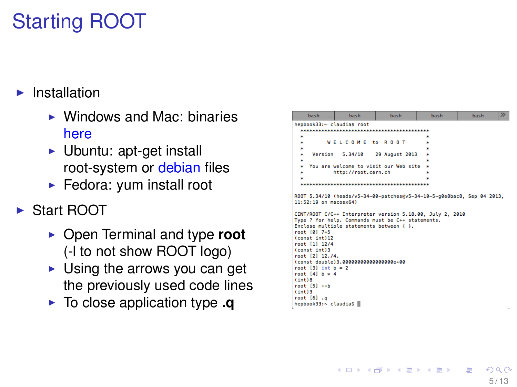# <span id="page-4-0"></span>Starting ROOT

#### Installation

- $\triangleright$  Windows and Mac: binaries [here](http://root.cern.ch/drupal/content/production-version-534)
- $\blacktriangleright$  Ubuntu: apt-get install root-system or [debian]( http://sourceforge.net/projects/cernrootdebs/) files
- $\blacktriangleright$  Fedora: yum install root
- ▶ Start ROOT
	- ▶ Open Terminal and type **root** (-l to not show ROOT logo)
	- $\triangleright$  Using the arrows you can get the previously used code lines
	- **I** To close application type **.q**

| hash<br>                                                                                                                                                                                                                                                                                                                                              | hash                | hash                                                                                                                   | hash | hash | $\gg$ |
|-------------------------------------------------------------------------------------------------------------------------------------------------------------------------------------------------------------------------------------------------------------------------------------------------------------------------------------------------------|---------------------|------------------------------------------------------------------------------------------------------------------------|------|------|-------|
| hepbook33:~ claudia\$ root                                                                                                                                                                                                                                                                                                                            |                     |                                                                                                                        |      |      |       |
|                                                                                                                                                                                                                                                                                                                                                       |                     |                                                                                                                        |      |      |       |
| ×                                                                                                                                                                                                                                                                                                                                                     |                     |                                                                                                                        |      |      |       |
| ÷                                                                                                                                                                                                                                                                                                                                                     | WELCOME to ROOT     |                                                                                                                        |      |      |       |
| ×.                                                                                                                                                                                                                                                                                                                                                    |                     |                                                                                                                        |      |      |       |
| Version<br>×                                                                                                                                                                                                                                                                                                                                          |                     | 5.34/10 29 August 2013                                                                                                 |      |      |       |
| ×                                                                                                                                                                                                                                                                                                                                                     |                     |                                                                                                                        |      |      |       |
| ÷                                                                                                                                                                                                                                                                                                                                                     |                     | You are welcome to visit our Web site                                                                                  |      |      |       |
| ÷.                                                                                                                                                                                                                                                                                                                                                    | http://root.cern.ch |                                                                                                                        | ٠    |      |       |
| ×.                                                                                                                                                                                                                                                                                                                                                    |                     |                                                                                                                        |      |      |       |
|                                                                                                                                                                                                                                                                                                                                                       |                     | skrate skrate skrate skrate skrate skrate skrate skrate skrate skrate skrate skrate skrate skrate skrate skrate skrate |      |      |       |
| $11:52:19$ on macosx64)<br>Enclose multiple statements between $\{\cdot\}$ .<br>root [0] 7+5<br>(const int)12<br>root [1] 12/4<br>(const int)3<br>root [2] 12.74.<br>(const double)3.00000000000000000e+00<br>root $[3]$ int $b = 2$<br>root $[4]$ b $*$ 4<br>$(int)$ <sup>8</sup><br>$root [5]$ $\leftrightarrow b$<br>(int)3<br>$root$ [6] $\ldots$ |                     | CINT/ROOT C/C++ Interpreter version 5.18.00. July 2. 2010<br>Type ? for help. Commands must be C++ statements.         |      |      |       |

イロト イ押 トイヨ トイヨト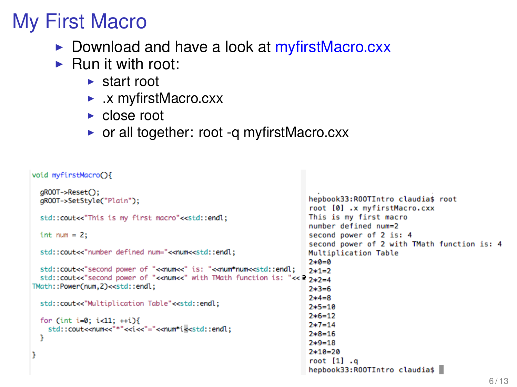### <span id="page-5-0"></span>My First Macro

- ► Download and have a look at [myfirstMacro.cxx](http://wwwhep.physik.uni-freiburg.de/~cgiulian/AppliedParticlePhysics/ROOTIntroduction/myfirstMacro.cxx)
- $\blacktriangleright$  Run it with root:
	- $\blacktriangleright$  start root
	- $\blacktriangleright$  .x myfirstMacro.cxx
	- $\blacktriangleright$  close root
	- $\triangleright$  or all together: root -q myfirstMacro.cxx

```
void myfirstMacro(){
```

```
qROOT->Reset();
                                                                  hepbook33:R00TIntro claudia$ root
 gROOT->SetStyle("Plain");
                                                                  root [0] .x myfirstMacro.cxx
                                                                  This is my first macro
 std::cout<<"This is my first macro"<<std::endl;
                                                                  number defined num=2
                                                                  second power of 2 is: 4
 int num = 2;
                                                                  second power of 2 with TMath function is: 4
 std::cout<<"number defined num="<<num<<std::endl;
                                                                  Multiplication Table
                                                                  7 * 0 = 0std::cout<<"second power of "<<num<<" is: "<<num*num<<std::endl;
                                                                  7*1=2std::cout<<"second power of "<<num<<" with TMath function is: "<< 2*2=4TMath::Power(num.2)<<std::endl;
                                                                  2*3=67*4=8std::cout<<"Multiplication Table"<<std::endl:
                                                                  2*5=102*6=12for (int i=0; i<11; ++i){
                                                                  2*7=14std::cout<<num<<"*"<<i<<"="<<num*i<<std::endl:
                                                                  2*8=16٦
                                                                  7*9=182*10=20root [1] .g
                                                                  hepbook33:R00TIntro claudia$
```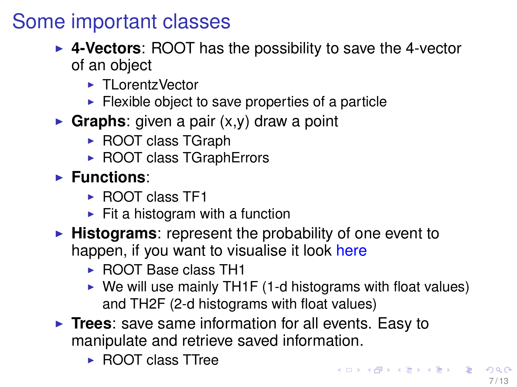#### <span id="page-6-0"></span>Some important classes

- ► 4-Vectors: ROOT has the possibility to save the 4-vector of an object
	- ► TLorentzVector
	- $\blacktriangleright$  Flexible object to save properties of a particle
- **Graphs**: given a pair  $(x,y)$  draw a point
	- $\triangleright$  ROOT class TGraph
	- $\triangleright$  ROOT class TGraphErrors
- **Functions:** 
	- $\triangleright$  ROOT class TF1
	- $\blacktriangleright$  Fit a histogram with a function
- **Histograms:** represent the probability of one event to happen, if you want to visualise it look [here](https://hacol01.physik.uni-freiburg.de/fp/root2013-2/2013-09-02_RootEinfuehrung.pdf)
	- ► ROOT Base class TH1
	- $\triangleright$  We will use mainly TH1F (1-d histograms with float values) and TH2F (2-d histograms with float values)
- **Trees**: save same information for all events. Easy to manipulate and retrieve saved information.
	- ► ROOT class TTree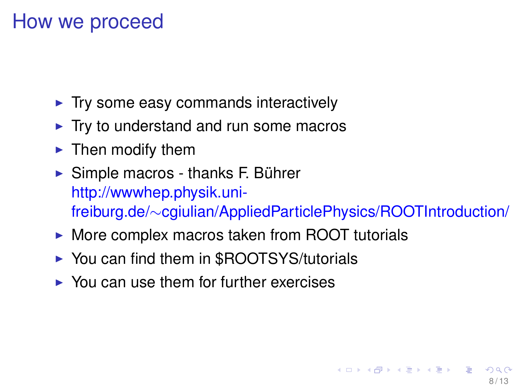#### How we proceed

- $\blacktriangleright$  Try some easy commands interactively
- $\blacktriangleright$  Try to understand and run some macros
- $\blacktriangleright$  Then modify them
- $\triangleright$  Simple macros thanks F. Bührer [http://wwwhep.physik.uni](http://wwwhep.physik.uni-freiburg.de/~cgiulian/AppliedParticlePhysics/ROOTIntroduction/)freiburg.de/∼[cgiulian/AppliedParticlePhysics/ROOTIntroduction/](http://wwwhep.physik.uni-freiburg.de/~cgiulian/AppliedParticlePhysics/ROOTIntroduction/)
- $\triangleright$  More complex macros taken from ROOT tutorials
- ▶ You can find them in \$ROOTSYS/tutorials
- $\triangleright$  You can use them for further exercises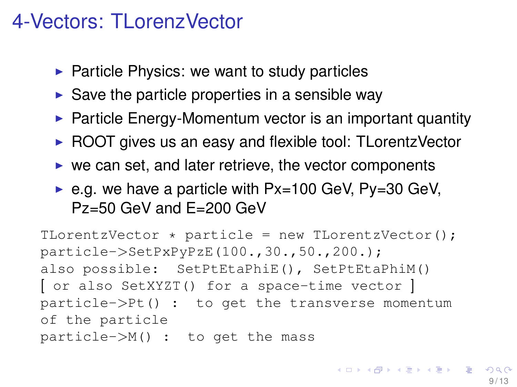#### <span id="page-8-0"></span>4-Vectors: TLorenzVector

- $\triangleright$  Particle Physics: we want to study particles
- $\triangleright$  Save the particle properties in a sensible way
- $\triangleright$  Particle Energy-Momentum vector is an important quantity
- $\triangleright$  ROOT gives us an easy and flexible tool: TLorentzVector
- $\triangleright$  we can set, and later retrieve, the vector components
- $\triangleright$  e.g. we have a particle with Px=100 GeV, Py=30 GeV, Pz=50 GeV and E=200 GeV

```
TLorentzVector \star particle = new TLorentzVector();
particle->SetPxPyPzE(100.,30.,50.,200.);
also possible: SetPtEtaPhiE(), SetPtEtaPhiM()
[ or also SetXYZT() for a space-time vector ]
particle->Pt() : to get the transverse momentum
of the particle
particle->M() : to get the mass
```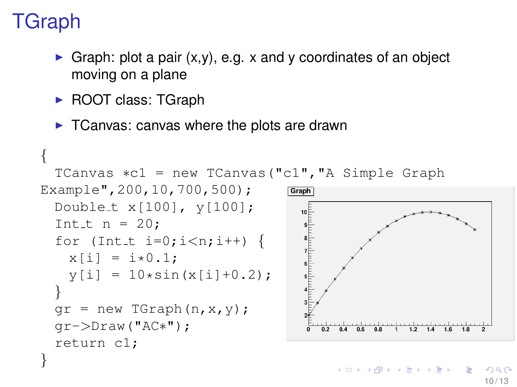# <span id="page-9-0"></span>**TGraph**

- Graph: plot a pair  $(x,y)$ , e.g. x and y coordinates of an object moving on a plane
- ► ROOT class: TGraph
- $\triangleright$  TCanvas: canvas where the plots are drawn

```
{
  TCanvas ∗c1 = new TCanvas("c1","A Simple Graph
Example",200,10,700,500);
                                       Graph
  Double t x[100], y[100];
                                         10<sup>5</sup>Int_t n = 20;
  for (Int_t i=0; i<n; i++) {
                                         \begin{array}{c}\n7 \\
7 \\
8 \\
4\n\end{array}x[i] = i*0.1;y[i] = 10*sin(x[i]+0.2);}
  qr = new TGraph(n, x, y);gr->Draw("AC∗");
                                                          1.21.41.6return c1;
}
```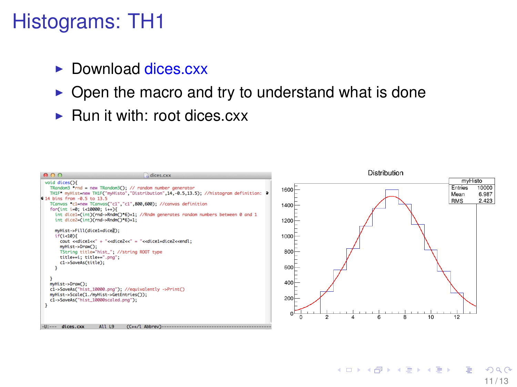### <span id="page-10-0"></span>Histograms: TH1

- $\triangleright$  Download dices  $cxx$
- $\triangleright$  Open the macro and try to understand what is done
- $\blacktriangleright$  Run it with: root dices  $cxx$



11 / 13

 $A \equiv 1 + 4 \sqrt{10} + 4 \sqrt{10} + 4 \sqrt{10} + 4 \sqrt{10} + 4 \sqrt{10} + 4 \sqrt{10} + 4 \sqrt{10} + 4 \sqrt{10} + 4 \sqrt{10} + 4 \sqrt{10} + 4 \sqrt{10} + 4 \sqrt{10} + 4 \sqrt{10} + 4 \sqrt{10} + 4 \sqrt{10} + 4 \sqrt{10} + 4 \sqrt{10} + 4 \sqrt{10} + 4 \sqrt{10} + 4 \sqrt{10} + 4 \sqrt{10} + 4 \sqrt{10} + 4 \sqrt{10} + 4 \sqrt{10$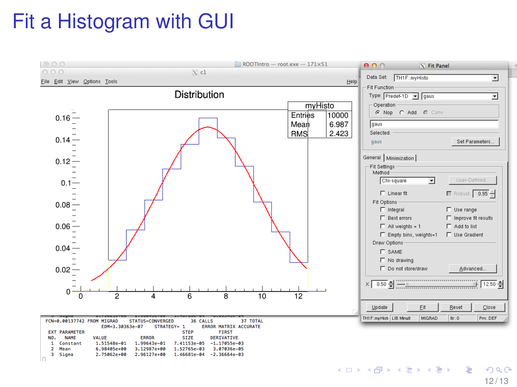# <span id="page-11-0"></span>Fit a Histogram with GUI